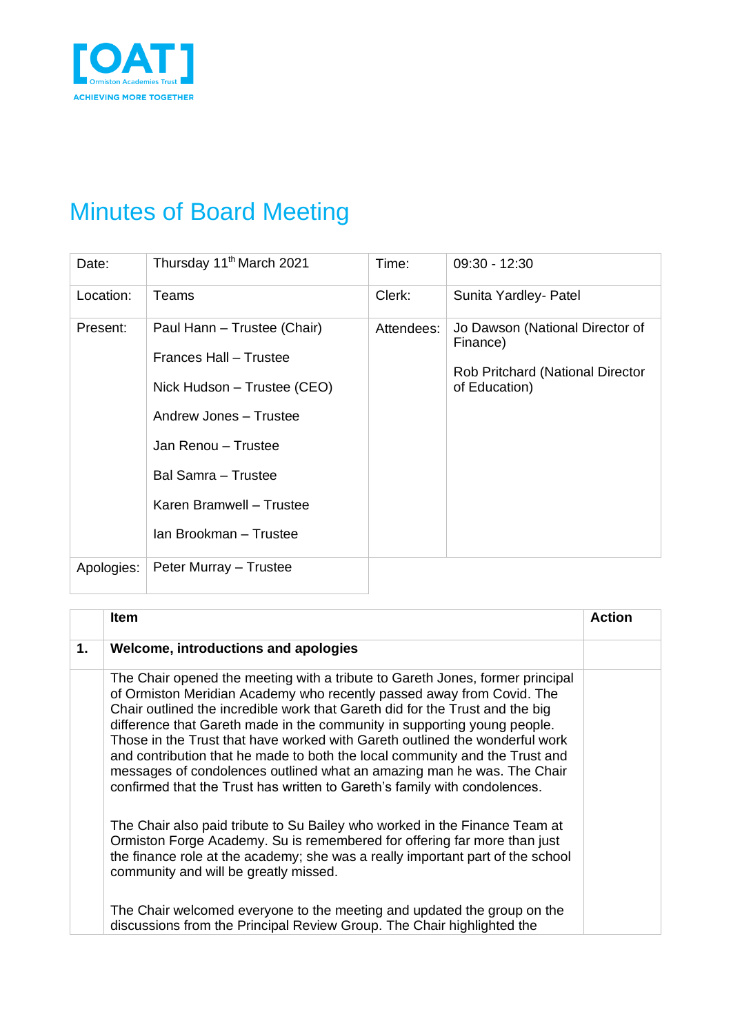

## Minutes of Board Meeting

| Date:      | Thursday 11 <sup>th</sup> March 2021                                                                                                                                                                               | Time:      | $09:30 - 12:30$                                                                                  |
|------------|--------------------------------------------------------------------------------------------------------------------------------------------------------------------------------------------------------------------|------------|--------------------------------------------------------------------------------------------------|
| Location:  | Teams                                                                                                                                                                                                              | Clerk:     | Sunita Yardley- Patel                                                                            |
| Present:   | Paul Hann - Trustee (Chair)<br>Frances Hall - Trustee<br>Nick Hudson – Trustee (CEO)<br>Andrew Jones - Trustee<br>Jan Renou - Trustee<br>Bal Samra - Trustee<br>Karen Bramwell - Trustee<br>Ian Brookman - Trustee | Attendees: | Jo Dawson (National Director of<br>Finance)<br>Rob Pritchard (National Director<br>of Education) |
| Apologies: | Peter Murray - Trustee                                                                                                                                                                                             |            |                                                                                                  |

|               | <b>Item</b>                                                                                                                                                                                                                                                                                                                                                                                                                                                                                                                                                                                                                             | <b>Action</b> |
|---------------|-----------------------------------------------------------------------------------------------------------------------------------------------------------------------------------------------------------------------------------------------------------------------------------------------------------------------------------------------------------------------------------------------------------------------------------------------------------------------------------------------------------------------------------------------------------------------------------------------------------------------------------------|---------------|
| $\mathbf 1$ . | Welcome, introductions and apologies                                                                                                                                                                                                                                                                                                                                                                                                                                                                                                                                                                                                    |               |
|               | The Chair opened the meeting with a tribute to Gareth Jones, former principal<br>of Ormiston Meridian Academy who recently passed away from Covid. The<br>Chair outlined the incredible work that Gareth did for the Trust and the big<br>difference that Gareth made in the community in supporting young people.<br>Those in the Trust that have worked with Gareth outlined the wonderful work<br>and contribution that he made to both the local community and the Trust and<br>messages of condolences outlined what an amazing man he was. The Chair<br>confirmed that the Trust has written to Gareth's family with condolences. |               |
|               | The Chair also paid tribute to Su Bailey who worked in the Finance Team at<br>Ormiston Forge Academy. Su is remembered for offering far more than just<br>the finance role at the academy; she was a really important part of the school<br>community and will be greatly missed.                                                                                                                                                                                                                                                                                                                                                       |               |
|               | The Chair welcomed everyone to the meeting and updated the group on the<br>discussions from the Principal Review Group. The Chair highlighted the                                                                                                                                                                                                                                                                                                                                                                                                                                                                                       |               |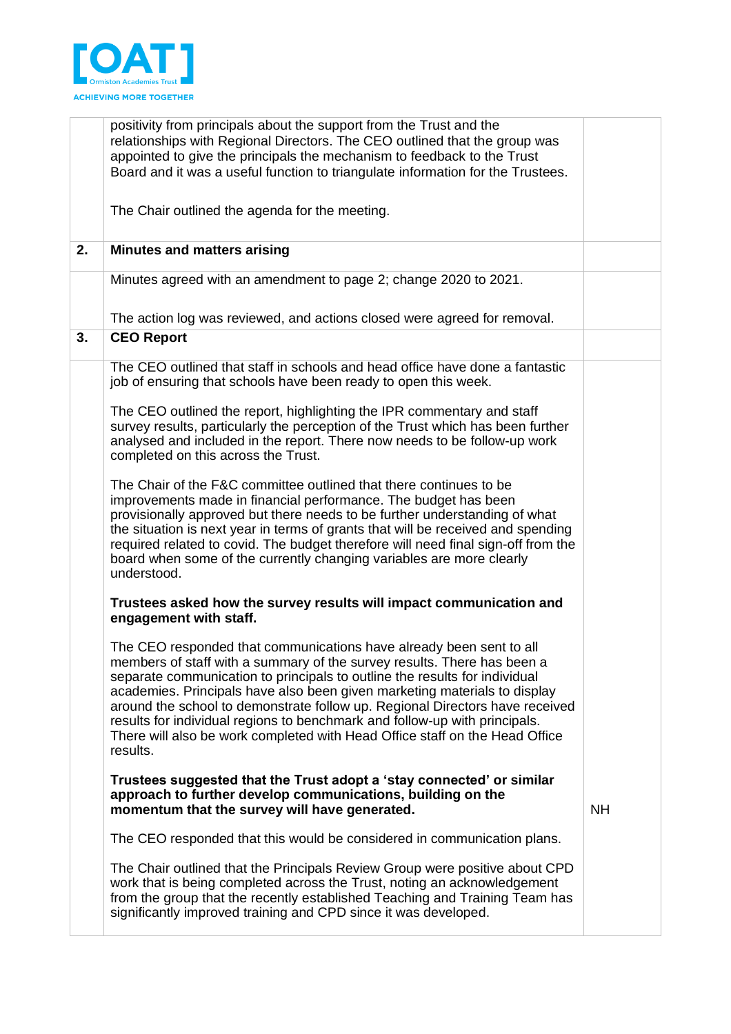

|    | positivity from principals about the support from the Trust and the<br>relationships with Regional Directors. The CEO outlined that the group was<br>appointed to give the principals the mechanism to feedback to the Trust<br>Board and it was a useful function to triangulate information for the Trustees.                                                                                                                                                                                                                                                    |           |
|----|--------------------------------------------------------------------------------------------------------------------------------------------------------------------------------------------------------------------------------------------------------------------------------------------------------------------------------------------------------------------------------------------------------------------------------------------------------------------------------------------------------------------------------------------------------------------|-----------|
|    | The Chair outlined the agenda for the meeting.                                                                                                                                                                                                                                                                                                                                                                                                                                                                                                                     |           |
| 2. | <b>Minutes and matters arising</b>                                                                                                                                                                                                                                                                                                                                                                                                                                                                                                                                 |           |
|    | Minutes agreed with an amendment to page 2; change 2020 to 2021.                                                                                                                                                                                                                                                                                                                                                                                                                                                                                                   |           |
|    | The action log was reviewed, and actions closed were agreed for removal.                                                                                                                                                                                                                                                                                                                                                                                                                                                                                           |           |
| 3. | <b>CEO Report</b>                                                                                                                                                                                                                                                                                                                                                                                                                                                                                                                                                  |           |
|    | The CEO outlined that staff in schools and head office have done a fantastic<br>job of ensuring that schools have been ready to open this week.                                                                                                                                                                                                                                                                                                                                                                                                                    |           |
|    | The CEO outlined the report, highlighting the IPR commentary and staff<br>survey results, particularly the perception of the Trust which has been further<br>analysed and included in the report. There now needs to be follow-up work<br>completed on this across the Trust.                                                                                                                                                                                                                                                                                      |           |
|    | The Chair of the F&C committee outlined that there continues to be<br>improvements made in financial performance. The budget has been<br>provisionally approved but there needs to be further understanding of what<br>the situation is next year in terms of grants that will be received and spending<br>required related to covid. The budget therefore will need final sign-off from the<br>board when some of the currently changing variables are more clearly<br>understood.                                                                                |           |
|    | Trustees asked how the survey results will impact communication and<br>engagement with staff.                                                                                                                                                                                                                                                                                                                                                                                                                                                                      |           |
|    | The CEO responded that communications have already been sent to all<br>members of staff with a summary of the survey results. There has been a<br>separate communication to principals to outline the results for individual<br>academies. Principals have also been given marketing materials to display<br>around the school to demonstrate follow up. Regional Directors have received<br>results for individual regions to benchmark and follow-up with principals.<br>There will also be work completed with Head Office staff on the Head Office<br>results. |           |
|    | Trustees suggested that the Trust adopt a 'stay connected' or similar<br>approach to further develop communications, building on the<br>momentum that the survey will have generated.                                                                                                                                                                                                                                                                                                                                                                              | <b>NH</b> |
|    | The CEO responded that this would be considered in communication plans.                                                                                                                                                                                                                                                                                                                                                                                                                                                                                            |           |
|    | The Chair outlined that the Principals Review Group were positive about CPD<br>work that is being completed across the Trust, noting an acknowledgement<br>from the group that the recently established Teaching and Training Team has<br>significantly improved training and CPD since it was developed.                                                                                                                                                                                                                                                          |           |
|    |                                                                                                                                                                                                                                                                                                                                                                                                                                                                                                                                                                    |           |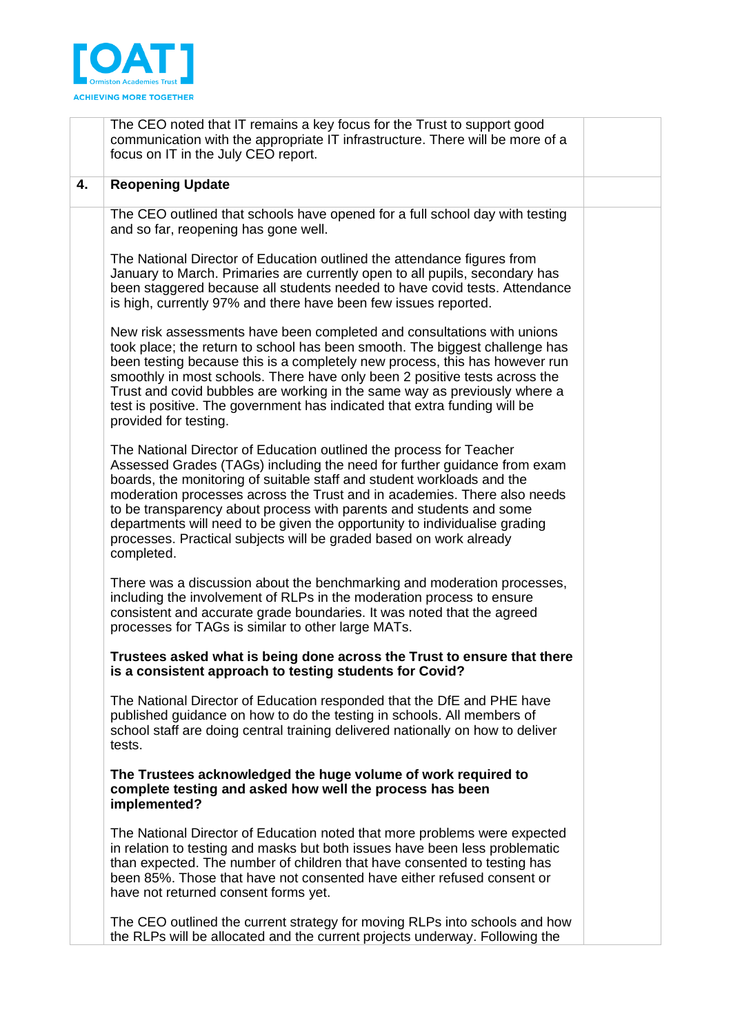

|    | The CEO noted that IT remains a key focus for the Trust to support good<br>communication with the appropriate IT infrastructure. There will be more of a<br>focus on IT in the July CEO report.                                                                                                                                                                                                                                                                                                                                                |  |
|----|------------------------------------------------------------------------------------------------------------------------------------------------------------------------------------------------------------------------------------------------------------------------------------------------------------------------------------------------------------------------------------------------------------------------------------------------------------------------------------------------------------------------------------------------|--|
| 4. | <b>Reopening Update</b>                                                                                                                                                                                                                                                                                                                                                                                                                                                                                                                        |  |
|    | The CEO outlined that schools have opened for a full school day with testing<br>and so far, reopening has gone well.<br>The National Director of Education outlined the attendance figures from<br>January to March. Primaries are currently open to all pupils, secondary has                                                                                                                                                                                                                                                                 |  |
|    | been staggered because all students needed to have covid tests. Attendance<br>is high, currently 97% and there have been few issues reported.                                                                                                                                                                                                                                                                                                                                                                                                  |  |
|    | New risk assessments have been completed and consultations with unions<br>took place; the return to school has been smooth. The biggest challenge has<br>been testing because this is a completely new process, this has however run<br>smoothly in most schools. There have only been 2 positive tests across the<br>Trust and covid bubbles are working in the same way as previously where a<br>test is positive. The government has indicated that extra funding will be<br>provided for testing.                                          |  |
|    | The National Director of Education outlined the process for Teacher<br>Assessed Grades (TAGs) including the need for further guidance from exam<br>boards, the monitoring of suitable staff and student workloads and the<br>moderation processes across the Trust and in academies. There also needs<br>to be transparency about process with parents and students and some<br>departments will need to be given the opportunity to individualise grading<br>processes. Practical subjects will be graded based on work already<br>completed. |  |
|    | There was a discussion about the benchmarking and moderation processes,<br>including the involvement of RLPs in the moderation process to ensure<br>consistent and accurate grade boundaries. It was noted that the agreed<br>processes for TAGs is similar to other large MATs.                                                                                                                                                                                                                                                               |  |
|    | Trustees asked what is being done across the Trust to ensure that there<br>is a consistent approach to testing students for Covid?                                                                                                                                                                                                                                                                                                                                                                                                             |  |
|    | The National Director of Education responded that the DfE and PHE have<br>published guidance on how to do the testing in schools. All members of<br>school staff are doing central training delivered nationally on how to deliver<br>tests.                                                                                                                                                                                                                                                                                                   |  |
|    | The Trustees acknowledged the huge volume of work required to<br>complete testing and asked how well the process has been<br>implemented?                                                                                                                                                                                                                                                                                                                                                                                                      |  |
|    | The National Director of Education noted that more problems were expected<br>in relation to testing and masks but both issues have been less problematic<br>than expected. The number of children that have consented to testing has<br>been 85%. Those that have not consented have either refused consent or<br>have not returned consent forms yet.                                                                                                                                                                                         |  |
|    | The CEO outlined the current strategy for moving RLPs into schools and how<br>the RLPs will be allocated and the current projects underway. Following the                                                                                                                                                                                                                                                                                                                                                                                      |  |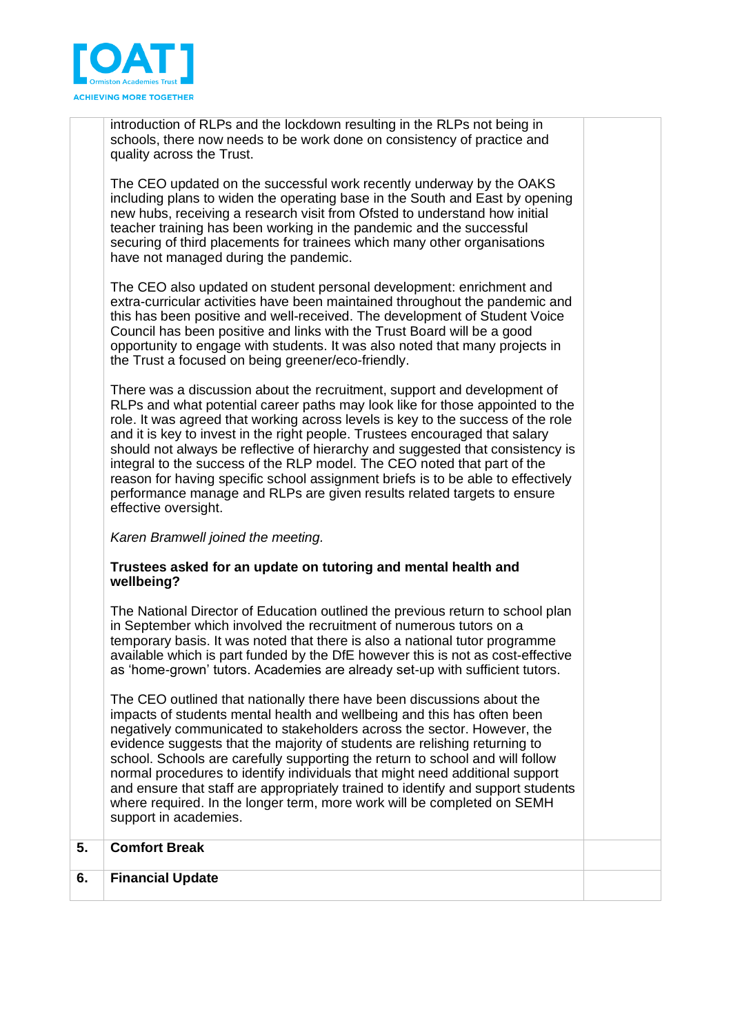

introduction of RLPs and the lockdown resulting in the RLPs not being in schools, there now needs to be work done on consistency of practice and quality across the Trust.

The CEO updated on the successful work recently underway by the OAKS including plans to widen the operating base in the South and East by opening new hubs, receiving a research visit from Ofsted to understand how initial teacher training has been working in the pandemic and the successful securing of third placements for trainees which many other organisations have not managed during the pandemic.

The CEO also updated on student personal development: enrichment and extra-curricular activities have been maintained throughout the pandemic and this has been positive and well-received. The development of Student Voice Council has been positive and links with the Trust Board will be a good opportunity to engage with students. It was also noted that many projects in the Trust a focused on being greener/eco-friendly.

There was a discussion about the recruitment, support and development of RLPs and what potential career paths may look like for those appointed to the role. It was agreed that working across levels is key to the success of the role and it is key to invest in the right people. Trustees encouraged that salary should not always be reflective of hierarchy and suggested that consistency is integral to the success of the RLP model. The CEO noted that part of the reason for having specific school assignment briefs is to be able to effectively performance manage and RLPs are given results related targets to ensure effective oversight.

*Karen Bramwell joined the meeting.* 

## **Trustees asked for an update on tutoring and mental health and wellbeing?**

The National Director of Education outlined the previous return to school plan in September which involved the recruitment of numerous tutors on a temporary basis. It was noted that there is also a national tutor programme available which is part funded by the DfE however this is not as cost-effective as 'home-grown' tutors. Academies are already set-up with sufficient tutors.

The CEO outlined that nationally there have been discussions about the impacts of students mental health and wellbeing and this has often been negatively communicated to stakeholders across the sector. However, the evidence suggests that the majority of students are relishing returning to school. Schools are carefully supporting the return to school and will follow normal procedures to identify individuals that might need additional support and ensure that staff are appropriately trained to identify and support students where required. In the longer term, more work will be completed on SEMH support in academies.

|    | <b>Support in academnes.</b> |  |
|----|------------------------------|--|
| э. | <b>Comfort Break</b>         |  |
| 6. | <b>Financial Update</b>      |  |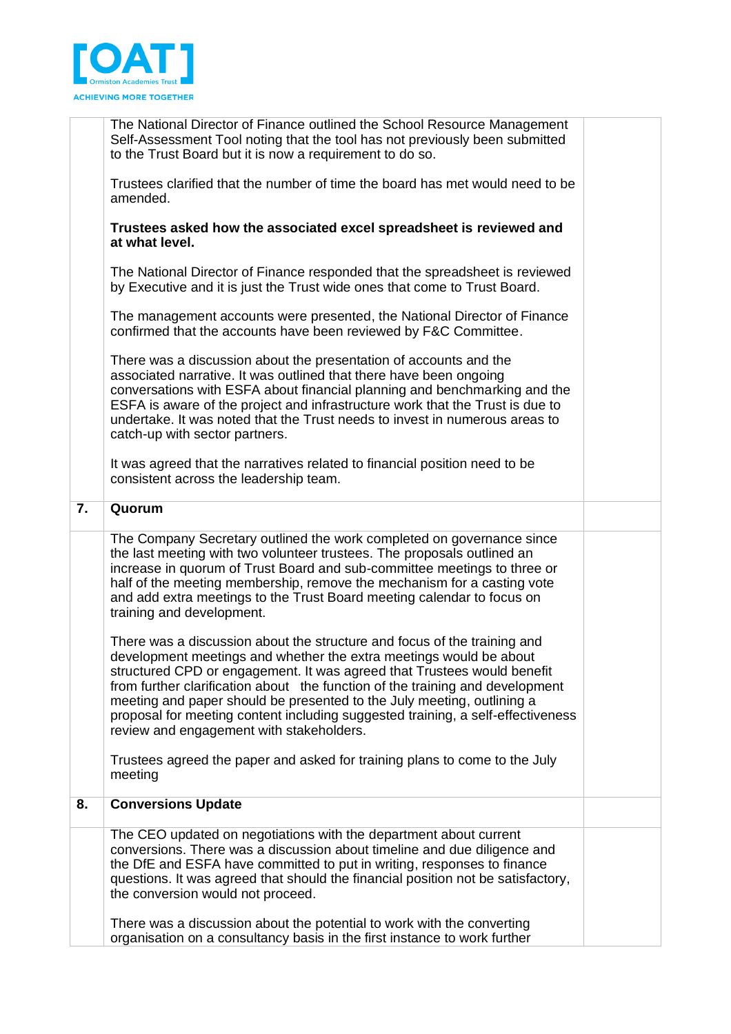

|                  | The National Director of Finance outlined the School Resource Management<br>Self-Assessment Tool noting that the tool has not previously been submitted<br>to the Trust Board but it is now a requirement to do so.                                                                                                                                                                                                                                                                                                 |  |
|------------------|---------------------------------------------------------------------------------------------------------------------------------------------------------------------------------------------------------------------------------------------------------------------------------------------------------------------------------------------------------------------------------------------------------------------------------------------------------------------------------------------------------------------|--|
|                  | Trustees clarified that the number of time the board has met would need to be<br>amended.                                                                                                                                                                                                                                                                                                                                                                                                                           |  |
|                  | Trustees asked how the associated excel spreadsheet is reviewed and<br>at what level.                                                                                                                                                                                                                                                                                                                                                                                                                               |  |
|                  | The National Director of Finance responded that the spreadsheet is reviewed<br>by Executive and it is just the Trust wide ones that come to Trust Board.                                                                                                                                                                                                                                                                                                                                                            |  |
|                  | The management accounts were presented, the National Director of Finance<br>confirmed that the accounts have been reviewed by F&C Committee.                                                                                                                                                                                                                                                                                                                                                                        |  |
|                  | There was a discussion about the presentation of accounts and the<br>associated narrative. It was outlined that there have been ongoing<br>conversations with ESFA about financial planning and benchmarking and the<br>ESFA is aware of the project and infrastructure work that the Trust is due to<br>undertake. It was noted that the Trust needs to invest in numerous areas to<br>catch-up with sector partners.                                                                                              |  |
|                  | It was agreed that the narratives related to financial position need to be<br>consistent across the leadership team.                                                                                                                                                                                                                                                                                                                                                                                                |  |
| $\overline{7}$ . | Quorum                                                                                                                                                                                                                                                                                                                                                                                                                                                                                                              |  |
|                  | The Company Secretary outlined the work completed on governance since<br>the last meeting with two volunteer trustees. The proposals outlined an<br>increase in quorum of Trust Board and sub-committee meetings to three or<br>half of the meeting membership, remove the mechanism for a casting vote<br>and add extra meetings to the Trust Board meeting calendar to focus on<br>training and development.                                                                                                      |  |
|                  | There was a discussion about the structure and focus of the training and<br>development meetings and whether the extra meetings would be about<br>structured CPD or engagement. It was agreed that Trustees would benefit<br>from further clarification about the function of the training and development<br>meeting and paper should be presented to the July meeting, outlining a<br>proposal for meeting content including suggested training, a self-effectiveness<br>review and engagement with stakeholders. |  |
|                  | Trustees agreed the paper and asked for training plans to come to the July<br>meeting                                                                                                                                                                                                                                                                                                                                                                                                                               |  |
| 8.               | <b>Conversions Update</b>                                                                                                                                                                                                                                                                                                                                                                                                                                                                                           |  |
|                  | The CEO updated on negotiations with the department about current<br>conversions. There was a discussion about timeline and due diligence and<br>the DfE and ESFA have committed to put in writing, responses to finance<br>questions. It was agreed that should the financial position not be satisfactory,<br>the conversion would not proceed.                                                                                                                                                                   |  |
|                  | There was a discussion about the potential to work with the converting<br>organisation on a consultancy basis in the first instance to work further                                                                                                                                                                                                                                                                                                                                                                 |  |